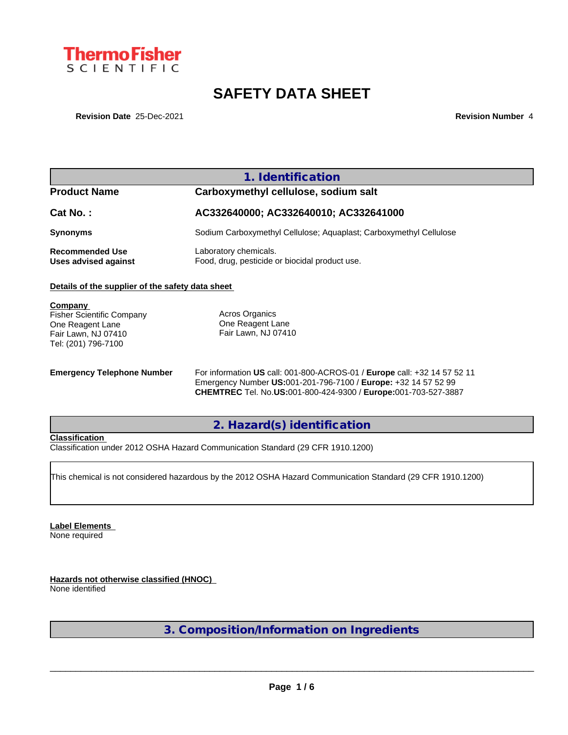

# **SAFETY DATA SHEET**

**Revision Date** 25-Dec-2021 **Revision Number** 4

|                                                                                                               | 1. Identification                                                        |  |  |  |  |
|---------------------------------------------------------------------------------------------------------------|--------------------------------------------------------------------------|--|--|--|--|
| <b>Product Name</b>                                                                                           | Carboxymethyl cellulose, sodium salt                                     |  |  |  |  |
| Cat No.:                                                                                                      | AC332640000; AC332640010; AC332641000                                    |  |  |  |  |
| <b>Synonyms</b>                                                                                               | Sodium Carboxymethyl Cellulose; Aquaplast; Carboxymethyl Cellulose       |  |  |  |  |
| <b>Recommended Use</b><br>Uses advised against                                                                | Laboratory chemicals.<br>Food, drug, pesticide or biocidal product use.  |  |  |  |  |
| Details of the supplier of the safety data sheet                                                              |                                                                          |  |  |  |  |
| Company<br><b>Fisher Scientific Company</b><br>One Reagent Lane<br>Fair Lawn, NJ 07410<br>Tel: (201) 796-7100 | Acros Organics<br>One Reagent Lane<br>Fair Lawn, NJ 07410                |  |  |  |  |
| <b>Emergency Telephone Number</b>                                                                             | For information US call: 001-800-ACROS-01 / Europe call: +32 14 57 52 11 |  |  |  |  |

Emergency Number **US:**001-201-796-7100 / **Europe:** +32 14 57 52 99 **CHEMTREC** Tel. No.**US:**001-800-424-9300 / **Europe:**001-703-527-3887

## **2. Hazard(s) identification**

### **Classification**

Classification under 2012 OSHA Hazard Communication Standard (29 CFR 1910.1200)

This chemical is not considered hazardous by the 2012 OSHA Hazard Communication Standard (29 CFR 1910.1200)

**Label Elements** None required

**Hazards not otherwise classified (HNOC)** None identified

**3. Composition/Information on Ingredients**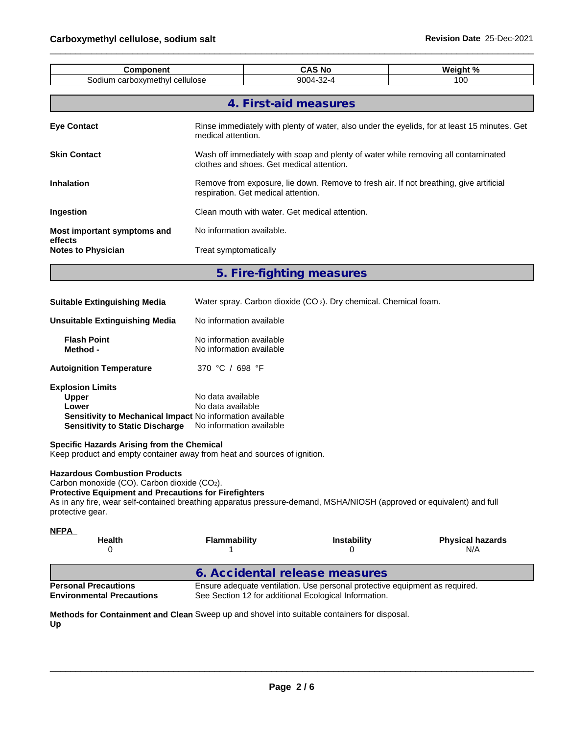| <b>Component</b>                                                                                                                                                                                                                                                                                 |                                                                    |                                                | <b>CAS No</b>                                                                | Weight %                                                                                     |
|--------------------------------------------------------------------------------------------------------------------------------------------------------------------------------------------------------------------------------------------------------------------------------------------------|--------------------------------------------------------------------|------------------------------------------------|------------------------------------------------------------------------------|----------------------------------------------------------------------------------------------|
| Sodium carboxymethyl cellulose                                                                                                                                                                                                                                                                   | 9004-32-4<br>100                                                   |                                                |                                                                              |                                                                                              |
|                                                                                                                                                                                                                                                                                                  |                                                                    | 4. First-aid measures                          |                                                                              |                                                                                              |
| <b>Eye Contact</b>                                                                                                                                                                                                                                                                               | medical attention.                                                 |                                                |                                                                              | Rinse immediately with plenty of water, also under the eyelids, for at least 15 minutes. Get |
| <b>Skin Contact</b>                                                                                                                                                                                                                                                                              |                                                                    | clothes and shoes. Get medical attention.      |                                                                              | Wash off immediately with soap and plenty of water while removing all contaminated           |
| <b>Inhalation</b>                                                                                                                                                                                                                                                                                |                                                                    | respiration. Get medical attention.            |                                                                              | Remove from exposure, lie down. Remove to fresh air. If not breathing, give artificial       |
| Ingestion                                                                                                                                                                                                                                                                                        |                                                                    | Clean mouth with water. Get medical attention. |                                                                              |                                                                                              |
| Most important symptoms and<br>effects                                                                                                                                                                                                                                                           | No information available.                                          |                                                |                                                                              |                                                                                              |
| <b>Notes to Physician</b>                                                                                                                                                                                                                                                                        | Treat symptomatically                                              |                                                |                                                                              |                                                                                              |
|                                                                                                                                                                                                                                                                                                  |                                                                    | 5. Fire-fighting measures                      |                                                                              |                                                                                              |
| <b>Suitable Extinguishing Media</b>                                                                                                                                                                                                                                                              |                                                                    |                                                | Water spray. Carbon dioxide (CO <sub>2</sub> ). Dry chemical. Chemical foam. |                                                                                              |
| <b>Unsuitable Extinguishing Media</b>                                                                                                                                                                                                                                                            | No information available                                           |                                                |                                                                              |                                                                                              |
| <b>Flash Point</b><br>Method -                                                                                                                                                                                                                                                                   | No information available<br>No information available               |                                                |                                                                              |                                                                                              |
| <b>Autoignition Temperature</b>                                                                                                                                                                                                                                                                  | 370 °C / 698 °F                                                    |                                                |                                                                              |                                                                                              |
| <b>Explosion Limits</b><br><b>Upper</b><br>Lower<br>Sensitivity to Mechanical Impact No information available<br><b>Sensitivity to Static Discharge</b>                                                                                                                                          | No data available<br>No data available<br>No information available |                                                |                                                                              |                                                                                              |
| Specific Hazards Arising from the Chemical<br>Keep product and empty container away from heat and sources of ignition.                                                                                                                                                                           |                                                                    |                                                |                                                                              |                                                                                              |
| <b>Hazardous Combustion Products</b><br>Carbon monoxide (CO). Carbon dioxide (CO2).<br><b>Protective Equipment and Precautions for Firefighters</b><br>As in any fire, wear self-contained breathing apparatus pressure-demand, MSHA/NIOSH (approved or equivalent) and full<br>protective gear. |                                                                    |                                                |                                                                              |                                                                                              |
| <u>NFPA</u><br>Health<br>0                                                                                                                                                                                                                                                                       | <b>Flammability</b><br>1                                           |                                                | <b>Instability</b><br>0                                                      | <b>Physical hazards</b><br>N/A                                                               |
|                                                                                                                                                                                                                                                                                                  |                                                                    |                                                | 6. Accidental release measures                                               |                                                                                              |
| <b>Personal Precautions</b><br><b>Environmental Precautions</b>                                                                                                                                                                                                                                  |                                                                    |                                                | See Section 12 for additional Ecological Information.                        | Ensure adequate ventilation. Use personal protective equipment as required.                  |
| Methods for Containment and Clean Sweep up and shovel into suitable containers for disposal.<br>Up                                                                                                                                                                                               |                                                                    |                                                |                                                                              |                                                                                              |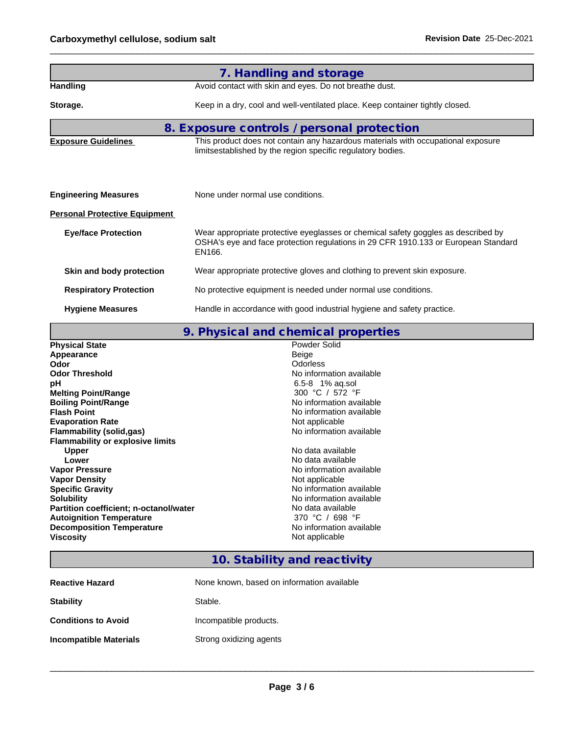|                                      | 7. Handling and storage                                                                                                                                                           |  |  |  |  |  |
|--------------------------------------|-----------------------------------------------------------------------------------------------------------------------------------------------------------------------------------|--|--|--|--|--|
| <b>Handling</b>                      | Avoid contact with skin and eyes. Do not breathe dust.                                                                                                                            |  |  |  |  |  |
| Storage.                             | Keep in a dry, cool and well-ventilated place. Keep container tightly closed.                                                                                                     |  |  |  |  |  |
|                                      | 8. Exposure controls / personal protection                                                                                                                                        |  |  |  |  |  |
| <b>Exposure Guidelines</b>           | This product does not contain any hazardous materials with occupational exposure<br>limitsestablished by the region specific regulatory bodies.                                   |  |  |  |  |  |
| <b>Engineering Measures</b>          | None under normal use conditions.                                                                                                                                                 |  |  |  |  |  |
| <b>Personal Protective Equipment</b> |                                                                                                                                                                                   |  |  |  |  |  |
| <b>Eye/face Protection</b>           | Wear appropriate protective eyeglasses or chemical safety goggles as described by<br>OSHA's eye and face protection regulations in 29 CFR 1910.133 or European Standard<br>EN166. |  |  |  |  |  |
| Skin and body protection             | Wear appropriate protective gloves and clothing to prevent skin exposure.                                                                                                         |  |  |  |  |  |
| <b>Respiratory Protection</b>        | No protective equipment is needed under normal use conditions.                                                                                                                    |  |  |  |  |  |
| <b>Hygiene Measures</b>              | Handle in accordance with good industrial hygiene and safety practice.                                                                                                            |  |  |  |  |  |

## **9. Physical and chemical properties**

| <b>Physical State</b>                   | Powder Solid             |
|-----------------------------------------|--------------------------|
| Appearance                              | Beige                    |
| Odor                                    | <b>Odorless</b>          |
| <b>Odor Threshold</b>                   | No information available |
| рH                                      | 6.5-8 1% ag.sol          |
| <b>Melting Point/Range</b>              | 300 °C / 572 °F          |
| <b>Boiling Point/Range</b>              | No information available |
| <b>Flash Point</b>                      | No information available |
| <b>Evaporation Rate</b>                 | Not applicable           |
| Flammability (solid,gas)                | No information available |
| <b>Flammability or explosive limits</b> |                          |
| Upper                                   | No data available        |
| Lower                                   | No data available        |
| <b>Vapor Pressure</b>                   | No information available |
| <b>Vapor Density</b>                    | Not applicable           |
| <b>Specific Gravity</b>                 | No information available |
| <b>Solubility</b>                       | No information available |
| Partition coefficient; n-octanol/water  | No data available        |
| <b>Autoignition Temperature</b>         | 370 °C / 698 °F          |
| <b>Decomposition Temperature</b>        | No information available |
| <b>Viscosity</b>                        | Not applicable           |
|                                         |                          |

# **10. Stability and reactivity**

| <b>Reactive Hazard</b>     | None known, based on information available |
|----------------------------|--------------------------------------------|
| <b>Stability</b>           | Stable.                                    |
| <b>Conditions to Avoid</b> | Incompatible products.                     |
| Incompatible Materials     | Strong oxidizing agents                    |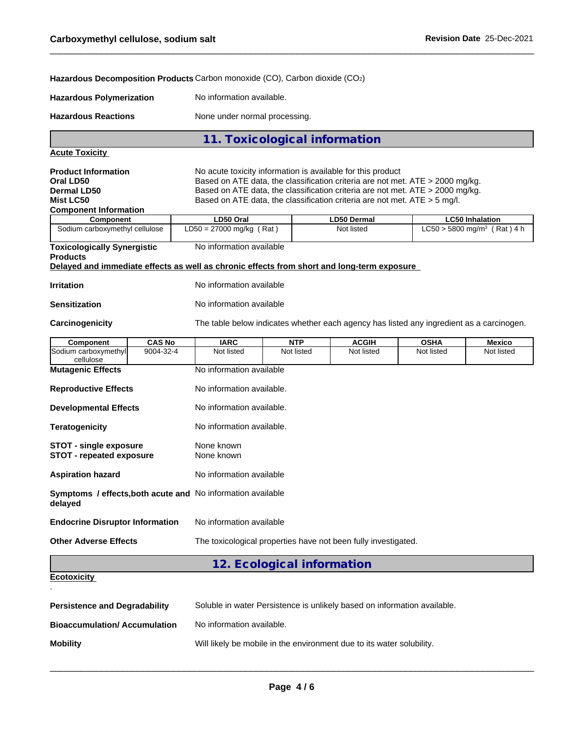**Hazardous Decomposition Products** Carbon monoxide (CO), Carbon dioxide (CO2)

| Hazardous Polymerization | No information available. |
|--------------------------|---------------------------|
|                          |                           |

**Hazardous Reactions** None under normal processing.

**11. Toxicological information**

**Acute Toxicity**

**Product Information** No acute toxicity information is available for this product **Oral LD50** Based on ATE data, the classification criteria are not met. ATE > 2000 mg/kg.<br>**Permal LD50** Based on ATE data, the classification criteria are not met. ATE > 2000 mg/kg.

| <b>Dermal LD50</b>                 | Based on ATE data, the classification criteria are not met. ATE $>$ 2000 mg/kg. |                    |                                           |  |  |
|------------------------------------|---------------------------------------------------------------------------------|--------------------|-------------------------------------------|--|--|
| <b>Mist LC50</b>                   | Based on ATE data, the classification criteria are not met. ATE > 5 mg/l.       |                    |                                           |  |  |
| <b>Component Information</b>       |                                                                                 |                    |                                           |  |  |
| Component                          | LD50 Oral                                                                       | <b>LD50 Dermal</b> | <b>LC50 Inhalation</b>                    |  |  |
| Sodium carboxymethyl cellulose     | $LD50 = 27000$ mg/kg (Rat)                                                      | Not listed         | $LC50 > 5800$ mg/m <sup>3</sup> (Rat) 4 h |  |  |
| <b>Toxicologically Synergistic</b> | No information available                                                        |                    |                                           |  |  |
| <b>Products</b>                    |                                                                                 |                    |                                           |  |  |

**Delayed and immediate effects as well as chronic effects from short and long-term exposure**

| <b>Irritation</b> | No information available |
|-------------------|--------------------------|
|                   |                          |

**Sensitization** No information available

Carcinogenicity The table below indicates whether each agency has listed any ingredient as a carcinogen.

| Component                                                                     | <b>CAS No</b> | <b>IARC</b>               | <b>NTP</b>                 | <b>ACGIH</b>                                                   | <b>OSHA</b> | <b>Mexico</b> |
|-------------------------------------------------------------------------------|---------------|---------------------------|----------------------------|----------------------------------------------------------------|-------------|---------------|
| Sodium carboxymethyl<br>cellulose                                             | 9004-32-4     | Not listed                | Not listed                 | Not listed                                                     | Not listed  | Not listed    |
| <b>Mutagenic Effects</b>                                                      |               | No information available  |                            |                                                                |             |               |
| <b>Reproductive Effects</b>                                                   |               | No information available. |                            |                                                                |             |               |
| <b>Developmental Effects</b>                                                  |               | No information available. |                            |                                                                |             |               |
| <b>Teratogenicity</b>                                                         |               | No information available. |                            |                                                                |             |               |
| STOT - single exposure<br><b>STOT - repeated exposure</b>                     |               | None known<br>None known  |                            |                                                                |             |               |
| <b>Aspiration hazard</b>                                                      |               | No information available  |                            |                                                                |             |               |
| <b>Symptoms / effects, both acute and No information available</b><br>delayed |               |                           |                            |                                                                |             |               |
| <b>Endocrine Disruptor Information</b>                                        |               | No information available  |                            |                                                                |             |               |
| <b>Other Adverse Effects</b>                                                  |               |                           |                            | The toxicological properties have not been fully investigated. |             |               |
|                                                                               |               |                           | 12. Ecological information |                                                                |             |               |
| <b>Ecotoxicity</b>                                                            |               |                           |                            |                                                                |             |               |

| Ecotoxicity |  |  |
|-------------|--|--|
|             |  |  |
|             |  |  |

| <b>Persistence and Degradability</b> | Soluble in water Persistence is unlikely based on information available. |
|--------------------------------------|--------------------------------------------------------------------------|
| <b>Bioaccumulation/Accumulation</b>  | No information available.                                                |
| <b>Mobility</b>                      | Will likely be mobile in the environment due to its water solubility.    |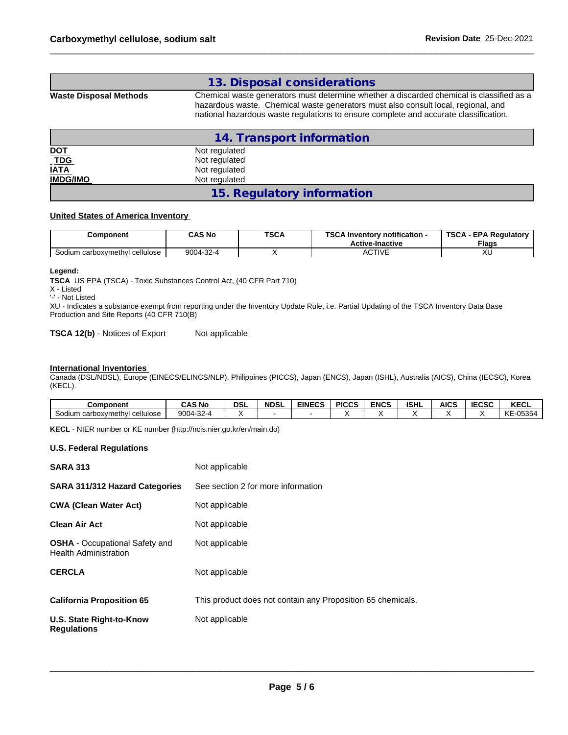## **13. Disposal considerations**

**Waste Disposal Methods** Chemical waste generators must determine whether a discarded chemical is classified as a hazardous waste. Chemical waste generators must also consult local, regional, and national hazardous waste regulations to ensure complete and accurate classification.

| 14. Transport information  |                            |  |  |
|----------------------------|----------------------------|--|--|
|                            | Not regulated              |  |  |
| <u>DOT</u><br><u>_TDG_</u> | Not regulated              |  |  |
| <b>IATA</b>                | Not regulated              |  |  |
| <b>IMDG/IMO</b>            | Not regulated              |  |  |
|                            | 15. Regulatory information |  |  |

#### **United States of America Inventory**

| Component                      | CAS No    | <b>TSCA</b> | <b>TSCA</b><br><b>\ Inventorv notification -</b><br><b>Active-Inactive</b> | <b>TSCA - EPA Requiatory</b><br><b>Flags</b> |
|--------------------------------|-----------|-------------|----------------------------------------------------------------------------|----------------------------------------------|
| Sodium carboxymethyl cellulose | 9004-32-4 |             | <b>CTIVE</b><br>◡                                                          | ハ                                            |

#### **Legend:**

**TSCA** US EPA (TSCA) - Toxic Substances Control Act, (40 CFR Part 710)

X - Listed

'-' - Not Listed

XU - Indicates a substance exempt from reporting under the Inventory Update Rule, i.e. Partial Updating of the TSCA Inventory Data Base Production and Site Reports (40 CFR 710(B)

**TSCA 12(b)** - Notices of Export Not applicable

#### **International Inventories**

Canada (DSL/NDSL), Europe (EINECS/ELINCS/NLP), Philippines (PICCS), Japan (ENCS), Japan (ISHL), Australia (AICS), China (IECSC), Korea (KECL).

| <b>Component</b>                                   | <b>CAS No</b>             | DSI | <b>NDSL</b> | <b>EINECS</b> | <b>PICCS</b> | <b>ENCS</b> | <b>ISHL</b> | <b>AICS</b> | IFABA<br>IELOL | <b>KECL</b>         |
|----------------------------------------------------|---------------------------|-----|-------------|---------------|--------------|-------------|-------------|-------------|----------------|---------------------|
| Sodiu <sub></sub><br>cellulose<br>ım carboxvmethvl | $\sim$<br>900<br>'J4-32-4 |     |             |               |              |             |             |             |                | 05354<br>17 F<br>n. |

**KECL** - NIER number or KE number (http://ncis.nier.go.kr/en/main.do)

#### **U.S. Federal Regulations**

| <b>SARA 313</b>                                                | Not applicable                                              |
|----------------------------------------------------------------|-------------------------------------------------------------|
| SARA 311/312 Hazard Categories                                 | See section 2 for more information                          |
| <b>CWA (Clean Water Act)</b>                                   | Not applicable                                              |
| <b>Clean Air Act</b>                                           | Not applicable                                              |
| <b>OSHA</b> - Occupational Safety and<br>Health Administration | Not applicable                                              |
| <b>CERCLA</b>                                                  | Not applicable                                              |
| <b>California Proposition 65</b>                               | This product does not contain any Proposition 65 chemicals. |
| U.S. State Right-to-Know<br>Requlations                        | Not applicable                                              |